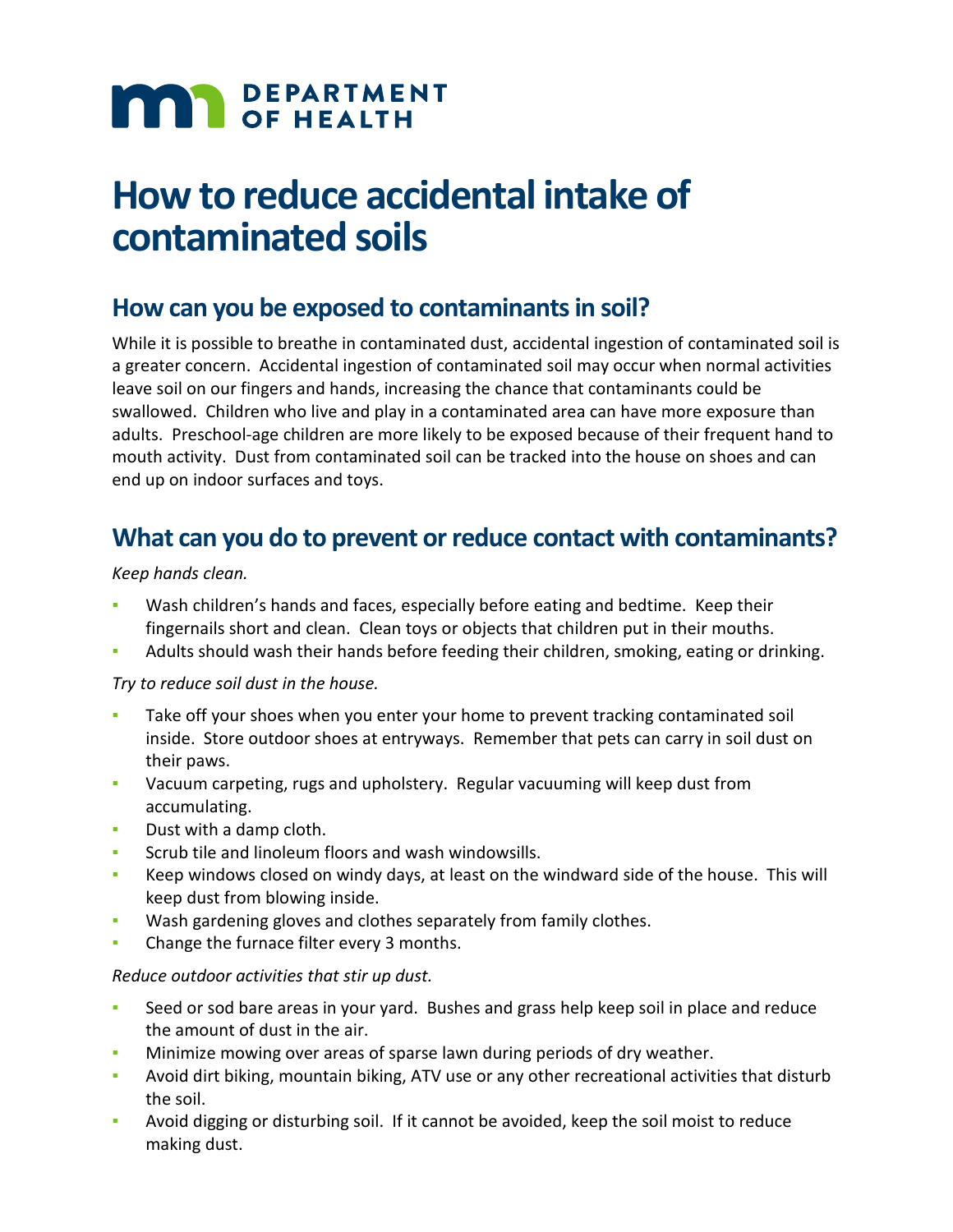# **MAR** DEPARTMENT

# **How to reduce accidental intake of contaminated soils**

## **How can you be exposed to contaminants in soil?**

While it is possible to breathe in contaminated dust, accidental ingestion of contaminated soil is a greater concern. Accidental ingestion of contaminated soil may occur when normal activities leave soil on our fingers and hands, increasing the chance that contaminants could be swallowed. Children who live and play in a contaminated area can have more exposure than adults. Preschool-age children are more likely to be exposed because of their frequent hand to mouth activity. Dust from contaminated soil can be tracked into the house on shoes and can end up on indoor surfaces and toys.

### **What can you do to prevent or reduce contact with contaminants?**

*Keep hands clean.*

- Wash children's hands and faces, especially before eating and bedtime. Keep their fingernails short and clean. Clean toys or objects that children put in their mouths.
- Adults should wash their hands before feeding their children, smoking, eating or drinking.

#### *Try to reduce soil dust in the house.*

- Take off your shoes when you enter your home to prevent tracking contaminated soil inside. Store outdoor shoes at entryways. Remember that pets can carry in soil dust on their paws.
- Vacuum carpeting, rugs and upholstery. Regular vacuuming will keep dust from accumulating.
- Dust with a damp cloth.
- Scrub tile and linoleum floors and wash windowsills.
- Keep windows closed on windy days, at least on the windward side of the house. This will keep dust from blowing inside.
- Wash gardening gloves and clothes separately from family clothes.
- **Change the furnace filter every 3 months.**

#### *Reduce outdoor activities that stir up dust.*

- Seed or sod bare areas in your yard. Bushes and grass help keep soil in place and reduce the amount of dust in the air.
- Minimize mowing over areas of sparse lawn during periods of dry weather.
- Avoid dirt biking, mountain biking, ATV use or any other recreational activities that disturb the soil.
- Avoid digging or disturbing soil. If it cannot be avoided, keep the soil moist to reduce making dust.